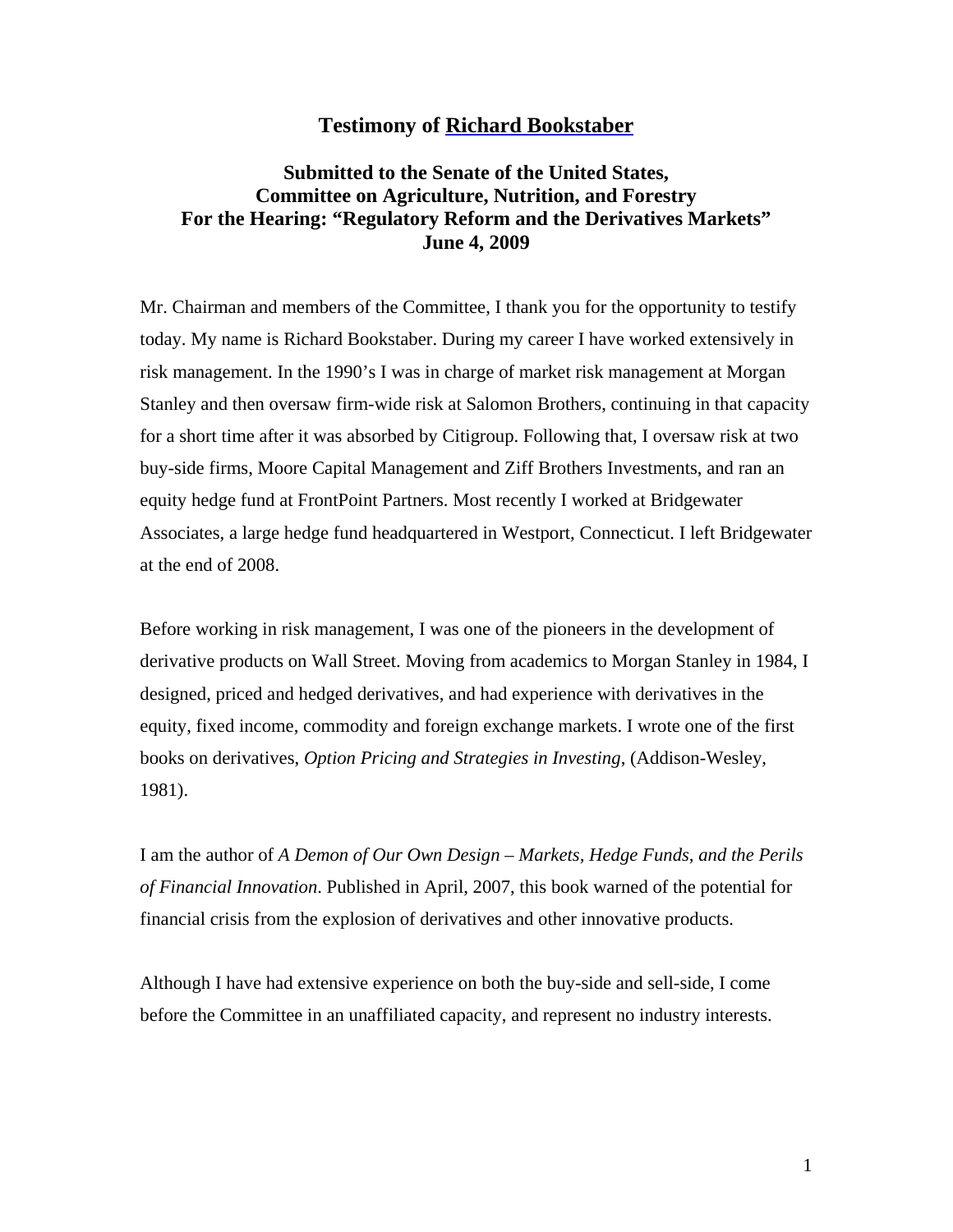## **Testimony of [Richard Bookstaber](http://rick.bookstaber.com)**

# **Submitted to the Senate of the United States, Committee on Agriculture, Nutrition, and Forestry For the Hearing: "Regulatory Reform and the Derivatives Markets" June 4, 2009**

Mr. Chairman and members of the Committee, I thank you for the opportunity to testify today. My name is Richard Bookstaber. During my career I have worked extensively in risk management. In the 1990's I was in charge of market risk management at Morgan Stanley and then oversaw firm-wide risk at Salomon Brothers, continuing in that capacity for a short time after it was absorbed by Citigroup. Following that, I oversaw risk at two buy-side firms, Moore Capital Management and Ziff Brothers Investments, and ran an equity hedge fund at FrontPoint Partners. Most recently I worked at Bridgewater Associates, a large hedge fund headquartered in Westport, Connecticut. I left Bridgewater at the end of 2008.

Before working in risk management, I was one of the pioneers in the development of derivative products on Wall Street. Moving from academics to Morgan Stanley in 1984, I designed, priced and hedged derivatives, and had experience with derivatives in the equity, fixed income, commodity and foreign exchange markets. I wrote one of the first books on derivatives, *Option Pricing and Strategies in Investing*, (Addison-Wesley, 1981).

I am the author of *A Demon of Our Own Design – Markets, Hedge Funds, and the Perils of Financial Innovation*. Published in April, 2007, this book warned of the potential for financial crisis from the explosion of derivatives and other innovative products.

Although I have had extensive experience on both the buy-side and sell-side, I come before the Committee in an unaffiliated capacity, and represent no industry interests.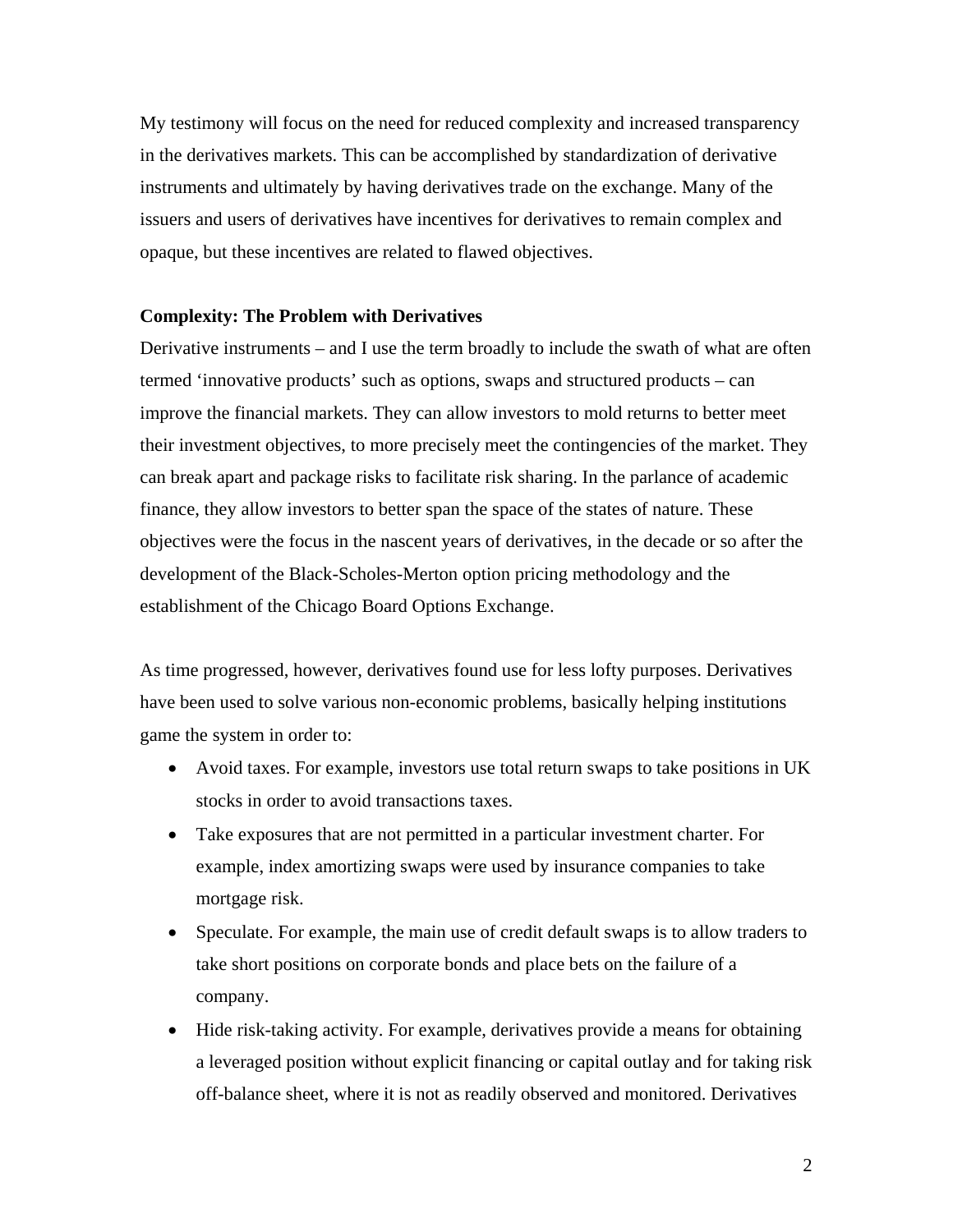My testimony will focus on the need for reduced complexity and increased transparency in the derivatives markets. This can be accomplished by standardization of derivative instruments and ultimately by having derivatives trade on the exchange. Many of the issuers and users of derivatives have incentives for derivatives to remain complex and opaque, but these incentives are related to flawed objectives.

## **Complexity: The Problem with Derivatives**

Derivative instruments – and I use the term broadly to include the swath of what are often termed 'innovative products' such as options, swaps and structured products – can improve the financial markets. They can allow investors to mold returns to better meet their investment objectives, to more precisely meet the contingencies of the market. They can break apart and package risks to facilitate risk sharing. In the parlance of academic finance, they allow investors to better span the space of the states of nature. These objectives were the focus in the nascent years of derivatives, in the decade or so after the development of the Black-Scholes-Merton option pricing methodology and the establishment of the Chicago Board Options Exchange.

As time progressed, however, derivatives found use for less lofty purposes. Derivatives have been used to solve various non-economic problems, basically helping institutions game the system in order to:

- Avoid taxes. For example, investors use total return swaps to take positions in UK stocks in order to avoid transactions taxes.
- Take exposures that are not permitted in a particular investment charter. For example, index amortizing swaps were used by insurance companies to take mortgage risk.
- Speculate. For example, the main use of credit default swaps is to allow traders to take short positions on corporate bonds and place bets on the failure of a company.
- Hide risk-taking activity. For example, derivatives provide a means for obtaining a leveraged position without explicit financing or capital outlay and for taking risk off-balance sheet, where it is not as readily observed and monitored. Derivatives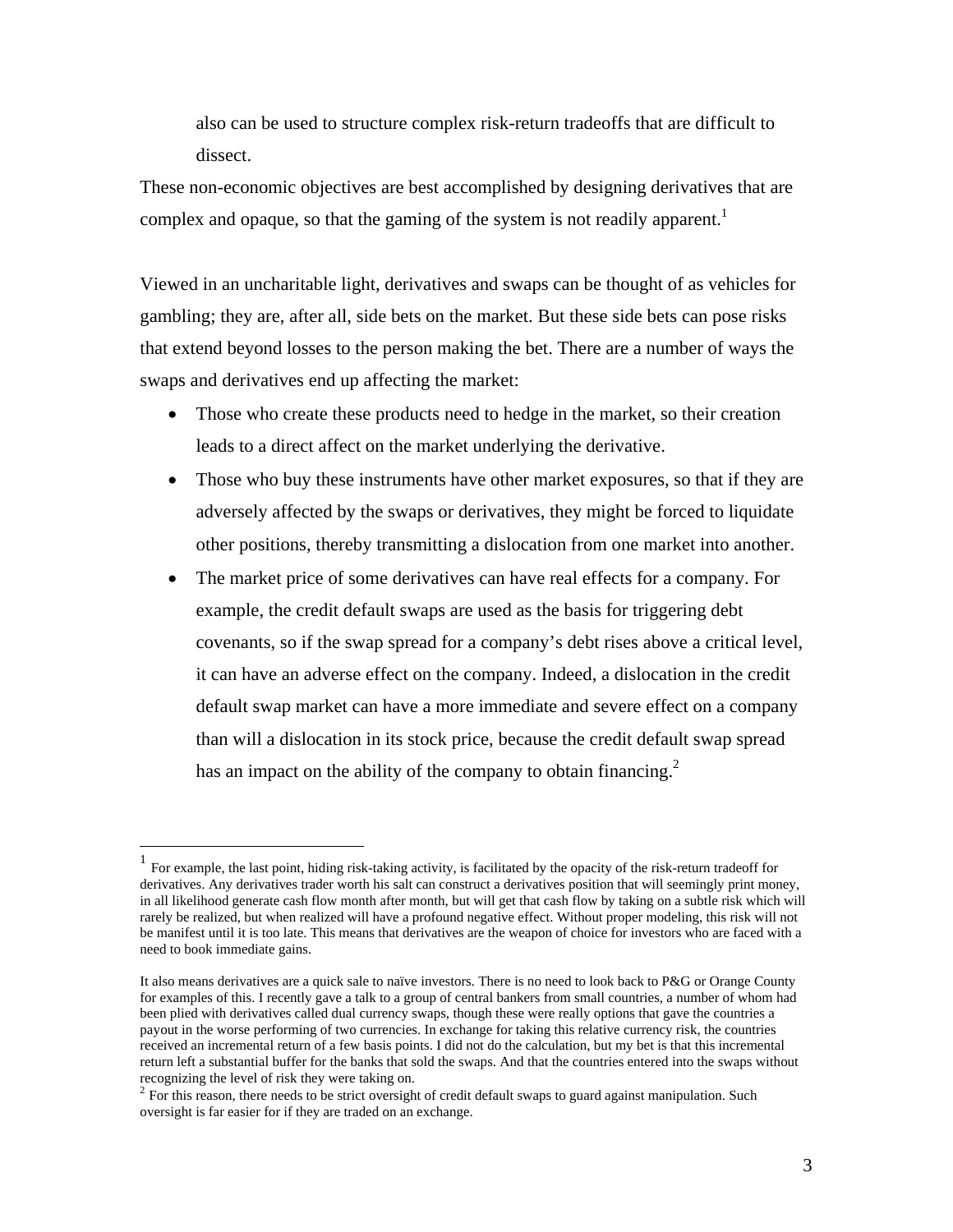also can be used to structure complex risk-return tradeoffs that are difficult to dissect.

These non-economic objectives are best accomplished by designing derivatives that are complex and opaque, so that the gaming of the system is not readily apparent.<sup>1</sup>

Viewed in an uncharitable light, derivatives and swaps can be thought of as vehicles for gambling; they are, after all, side bets on the market. But these side bets can pose risks that extend beyond losses to the person making the bet. There are a number of ways the swaps and derivatives end up affecting the market:

- Those who create these products need to hedge in the market, so their creation leads to a direct affect on the market underlying the derivative.
- Those who buy these instruments have other market exposures, so that if they are adversely affected by the swaps or derivatives, they might be forced to liquidate other positions, thereby transmitting a dislocation from one market into another.
- The market price of some derivatives can have real effects for a company. For example, the credit default swaps are used as the basis for triggering debt covenants, so if the swap spread for a company's debt rises above a critical level, it can have an adverse effect on the company. Indeed, a dislocation in the credit default swap market can have a more immediate and severe effect on a company than will a dislocation in its stock price, because the credit default swap spread has an impact on the ability of the company to obtain financing.<sup>2</sup>

 $\overline{a}$ 

<sup>1</sup> For example, the last point, hiding risk-taking activity, is facilitated by the opacity of the risk-return tradeoff for derivatives. Any derivatives trader worth his salt can construct a derivatives position that will seemingly print money, in all likelihood generate cash flow month after month, but will get that cash flow by taking on a subtle risk which will rarely be realized, but when realized will have a profound negative effect. Without proper modeling, this risk will not be manifest until it is too late. This means that derivatives are the weapon of choice for investors who are faced with a need to book immediate gains.

It also means derivatives are a quick sale to naïve investors. There is no need to look back to P&G or Orange County for examples of this. I recently gave a talk to a group of central bankers from small countries, a number of whom had been plied with derivatives called dual currency swaps, though these were really options that gave the countries a payout in the worse performing of two currencies. In exchange for taking this relative currency risk, the countries received an incremental return of a few basis points. I did not do the calculation, but my bet is that this incremental return left a substantial buffer for the banks that sold the swaps. And that the countries entered into the swaps without recognizing the level of risk they were taking on.

 $2$  For this reason, there needs to be strict oversight of credit default swaps to guard against manipulation. Such oversight is far easier for if they are traded on an exchange.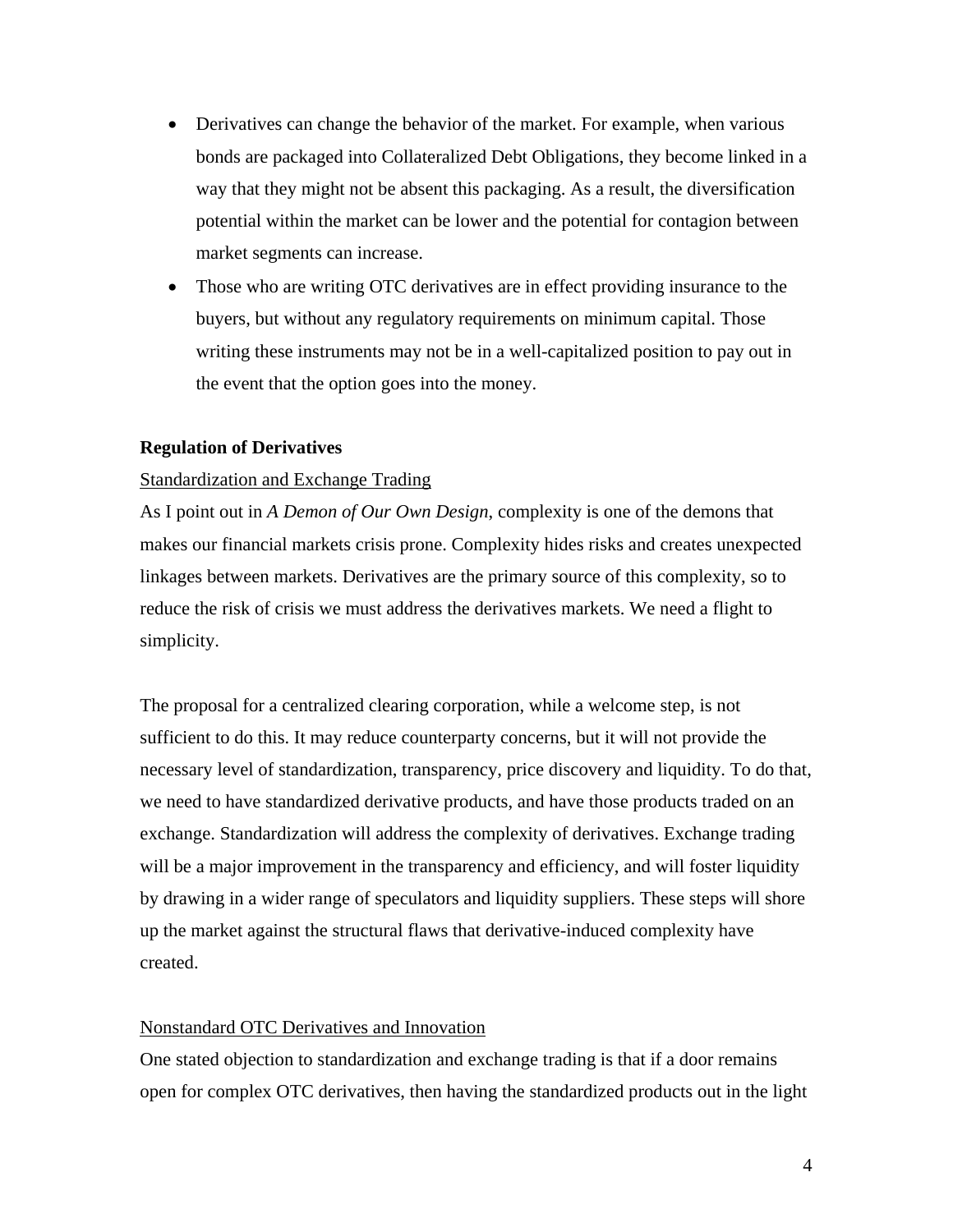- Derivatives can change the behavior of the market. For example, when various bonds are packaged into Collateralized Debt Obligations, they become linked in a way that they might not be absent this packaging. As a result, the diversification potential within the market can be lower and the potential for contagion between market segments can increase.
- Those who are writing OTC derivatives are in effect providing insurance to the buyers, but without any regulatory requirements on minimum capital. Those writing these instruments may not be in a well-capitalized position to pay out in the event that the option goes into the money.

## **Regulation of Derivatives**

#### Standardization and Exchange Trading

As I point out in *A Demon of Our Own Design*, complexity is one of the demons that makes our financial markets crisis prone. Complexity hides risks and creates unexpected linkages between markets. Derivatives are the primary source of this complexity, so to reduce the risk of crisis we must address the derivatives markets. We need a flight to simplicity.

The proposal for a centralized clearing corporation, while a welcome step, is not sufficient to do this. It may reduce counterparty concerns, but it will not provide the necessary level of standardization, transparency, price discovery and liquidity. To do that, we need to have standardized derivative products, and have those products traded on an exchange. Standardization will address the complexity of derivatives. Exchange trading will be a major improvement in the transparency and efficiency, and will foster liquidity by drawing in a wider range of speculators and liquidity suppliers. These steps will shore up the market against the structural flaws that derivative-induced complexity have created.

## Nonstandard OTC Derivatives and Innovation

One stated objection to standardization and exchange trading is that if a door remains open for complex OTC derivatives, then having the standardized products out in the light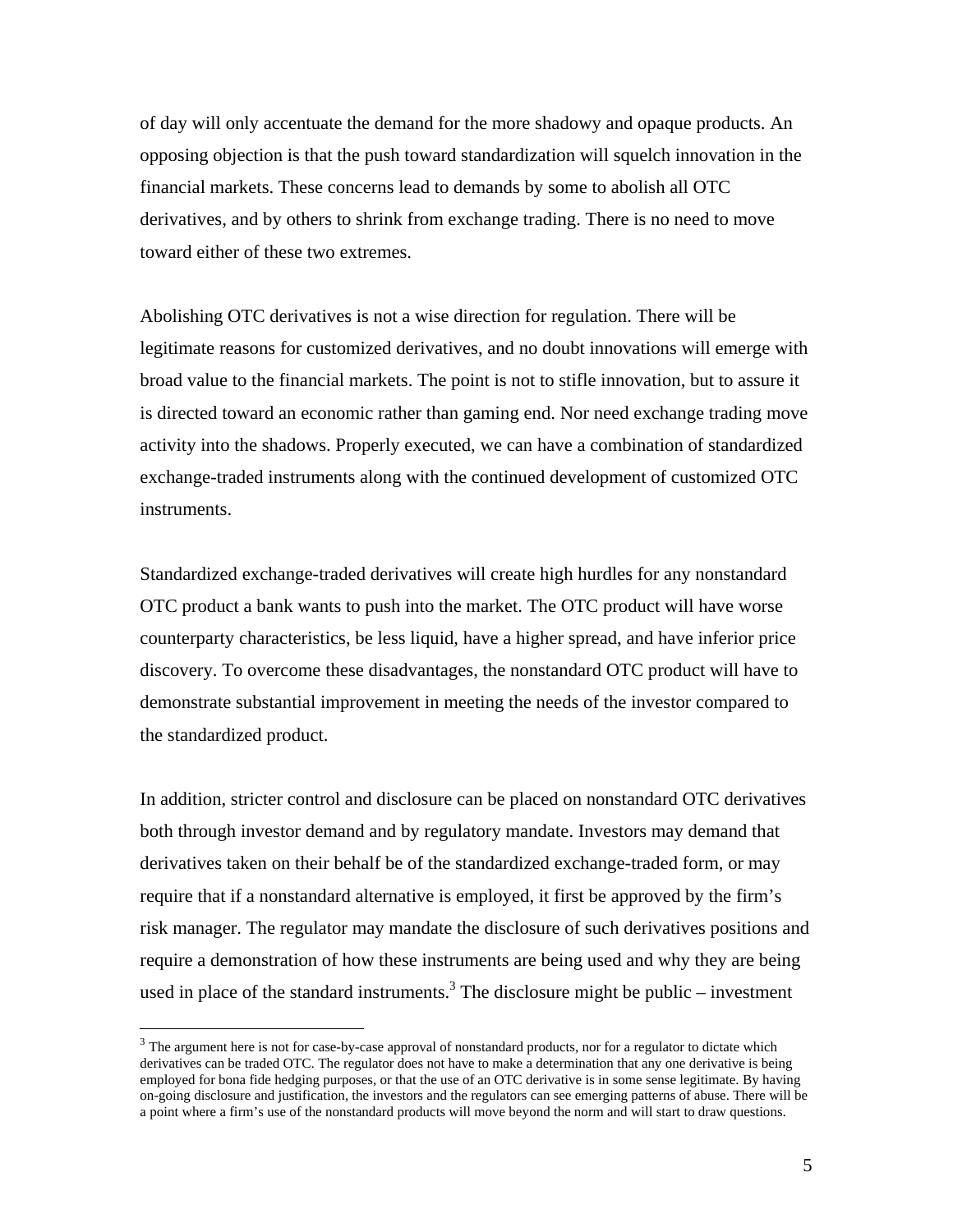of day will only accentuate the demand for the more shadowy and opaque products. An opposing objection is that the push toward standardization will squelch innovation in the financial markets. These concerns lead to demands by some to abolish all OTC derivatives, and by others to shrink from exchange trading. There is no need to move toward either of these two extremes.

Abolishing OTC derivatives is not a wise direction for regulation. There will be legitimate reasons for customized derivatives, and no doubt innovations will emerge with broad value to the financial markets. The point is not to stifle innovation, but to assure it is directed toward an economic rather than gaming end. Nor need exchange trading move activity into the shadows. Properly executed, we can have a combination of standardized exchange-traded instruments along with the continued development of customized OTC instruments.

Standardized exchange-traded derivatives will create high hurdles for any nonstandard OTC product a bank wants to push into the market. The OTC product will have worse counterparty characteristics, be less liquid, have a higher spread, and have inferior price discovery. To overcome these disadvantages, the nonstandard OTC product will have to demonstrate substantial improvement in meeting the needs of the investor compared to the standardized product.

In addition, stricter control and disclosure can be placed on nonstandard OTC derivatives both through investor demand and by regulatory mandate. Investors may demand that derivatives taken on their behalf be of the standardized exchange-traded form, or may require that if a nonstandard alternative is employed, it first be approved by the firm's risk manager. The regulator may mandate the disclosure of such derivatives positions and require a demonstration of how these instruments are being used and why they are being used in place of the standard instruments.<sup>3</sup> The disclosure might be public – investment

1

<sup>&</sup>lt;sup>3</sup> The argument here is not for case-by-case approval of nonstandard products, nor for a regulator to dictate which derivatives can be traded OTC. The regulator does not have to make a determination that any one derivative is being employed for bona fide hedging purposes, or that the use of an OTC derivative is in some sense legitimate. By having on-going disclosure and justification, the investors and the regulators can see emerging patterns of abuse. There will be a point where a firm's use of the nonstandard products will move beyond the norm and will start to draw questions.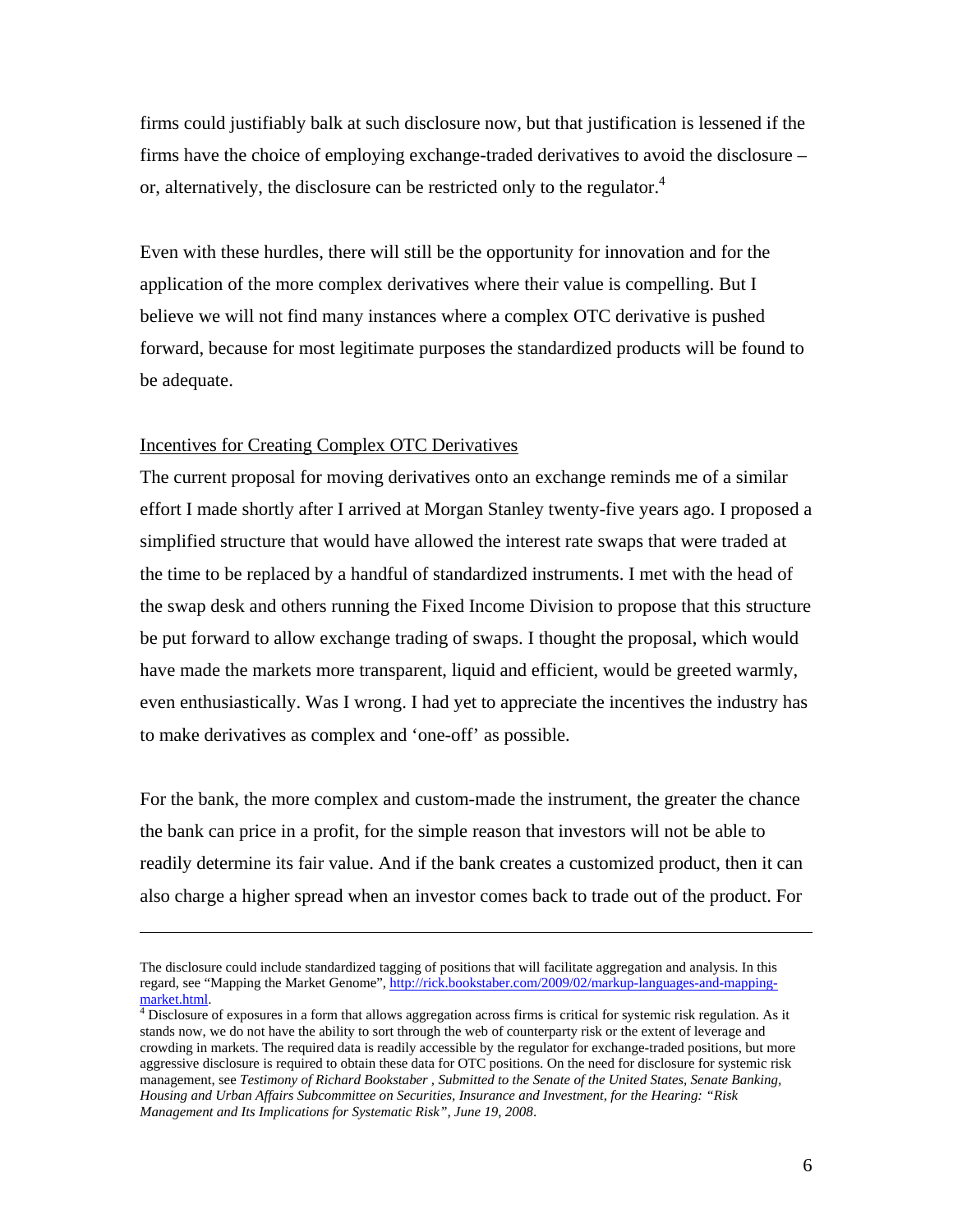firms could justifiably balk at such disclosure now, but that justification is lessened if the firms have the choice of employing exchange-traded derivatives to avoid the disclosure – or, alternatively, the disclosure can be restricted only to the regulator.<sup>4</sup>

Even with these hurdles, there will still be the opportunity for innovation and for the application of the more complex derivatives where their value is compelling. But I believe we will not find many instances where a complex OTC derivative is pushed forward, because for most legitimate purposes the standardized products will be found to be adequate.

## Incentives for Creating Complex OTC Derivatives

1

The current proposal for moving derivatives onto an exchange reminds me of a similar effort I made shortly after I arrived at Morgan Stanley twenty-five years ago. I proposed a simplified structure that would have allowed the interest rate swaps that were traded at the time to be replaced by a handful of standardized instruments. I met with the head of the swap desk and others running the Fixed Income Division to propose that this structure be put forward to allow exchange trading of swaps. I thought the proposal, which would have made the markets more transparent, liquid and efficient, would be greeted warmly, even enthusiastically. Was I wrong. I had yet to appreciate the incentives the industry has to make derivatives as complex and 'one-off' as possible.

For the bank, the more complex and custom-made the instrument, the greater the chance the bank can price in a profit, for the simple reason that investors will not be able to readily determine its fair value. And if the bank creates a customized product, then it can also charge a higher spread when an investor comes back to trade out of the product. For

The disclosure could include standardized tagging of positions that will facilitate aggregation and analysis. In this regard, see "Mapping the Market Genome", http://rick.bookstaber.com/2009/02/markup-languages-and-mappingmarket.html. 4

 $\frac{4}{3}$  Disclosure of exposures in a form that allows aggregation across firms is critical for systemic risk regulation. As it stands now, we do not have the ability to sort through the web of counterparty risk or the extent of leverage and crowding in markets. The required data is readily accessible by the regulator for exchange-traded positions, but more aggressive disclosure is required to obtain these data for OTC positions. On the need for disclosure for systemic risk management, see *Testimony of Richard Bookstaber , Submitted to the Senate of the United States, Senate Banking, Housing and Urban Affairs Subcommittee on Securities, Insurance and Investment, for the Hearing: "Risk Management and Its Implications for Systematic Risk", June 19, 2008*.